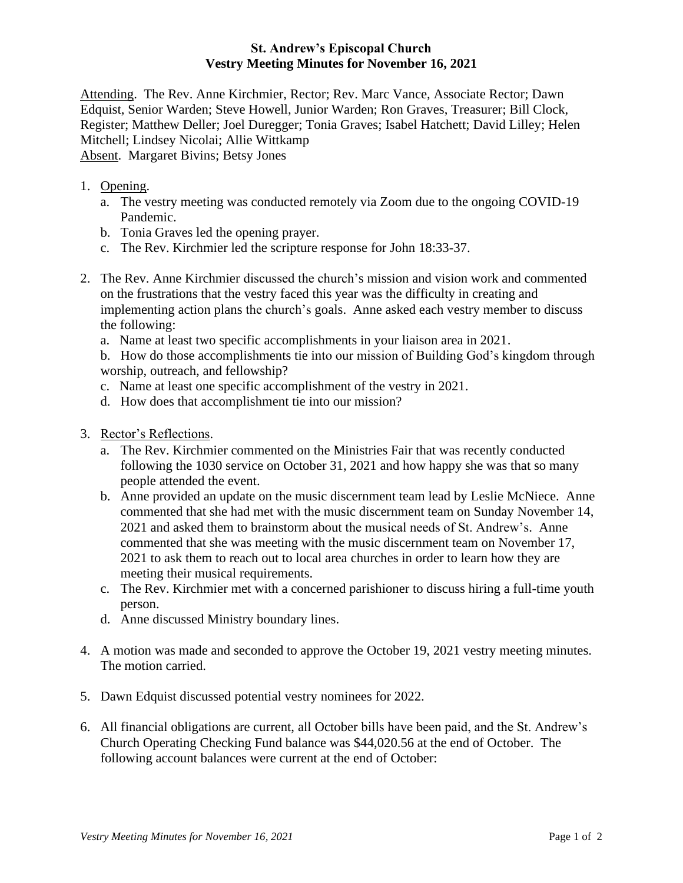## **St. Andrew's Episcopal Church Vestry Meeting Minutes for November 16, 2021**

Attending. The Rev. Anne Kirchmier, Rector; Rev. Marc Vance, Associate Rector; Dawn Edquist, Senior Warden; Steve Howell, Junior Warden; Ron Graves, Treasurer; Bill Clock, Register; Matthew Deller; Joel Duregger; Tonia Graves; Isabel Hatchett; David Lilley; Helen Mitchell; Lindsey Nicolai; Allie Wittkamp Absent. Margaret Bivins; Betsy Jones

- 1. Opening.
	- a. The vestry meeting was conducted remotely via Zoom due to the ongoing COVID-19 Pandemic.
	- b. Tonia Graves led the opening prayer.
	- c. The Rev. Kirchmier led the scripture response for John 18:33-37.
- 2. The Rev. Anne Kirchmier discussed the church's mission and vision work and commented on the frustrations that the vestry faced this year was the difficulty in creating and implementing action plans the church's goals. Anne asked each vestry member to discuss the following:
	- a. Name at least two specific accomplishments in your liaison area in 2021.

b. How do those accomplishments tie into our mission of Building God's kingdom through worship, outreach, and fellowship?

- c. Name at least one specific accomplishment of the vestry in 2021.
- d. How does that accomplishment tie into our mission?
- 3. Rector's Reflections.
	- a. The Rev. Kirchmier commented on the Ministries Fair that was recently conducted following the 1030 service on October 31, 2021 and how happy she was that so many people attended the event.
	- b. Anne provided an update on the music discernment team lead by Leslie McNiece. Anne commented that she had met with the music discernment team on Sunday November 14, 2021 and asked them to brainstorm about the musical needs of St. Andrew's. Anne commented that she was meeting with the music discernment team on November 17, 2021 to ask them to reach out to local area churches in order to learn how they are meeting their musical requirements.
	- c. The Rev. Kirchmier met with a concerned parishioner to discuss hiring a full-time youth person.
	- d. Anne discussed Ministry boundary lines.
- 4. A motion was made and seconded to approve the October 19, 2021 vestry meeting minutes. The motion carried.
- 5. Dawn Edquist discussed potential vestry nominees for 2022.
- 6. All financial obligations are current, all October bills have been paid, and the St. Andrew's Church Operating Checking Fund balance was \$44,020.56 at the end of October. The following account balances were current at the end of October: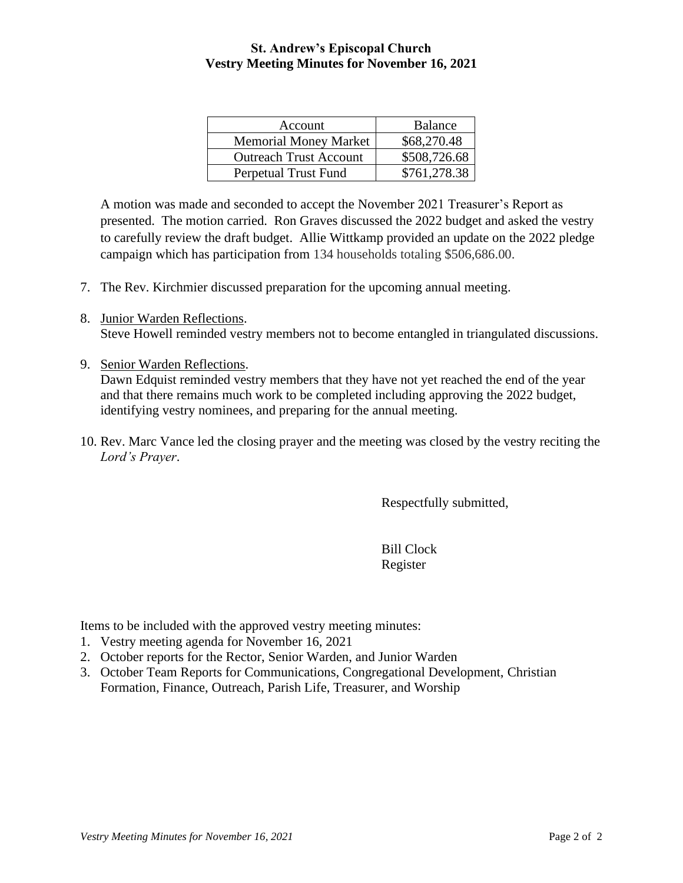## **St. Andrew's Episcopal Church Vestry Meeting Minutes for November 16, 2021**

| Account                       | <b>Balance</b> |
|-------------------------------|----------------|
| <b>Memorial Money Market</b>  | \$68,270.48    |
| <b>Outreach Trust Account</b> | \$508,726.68   |
| Perpetual Trust Fund          | \$761,278.38   |

A motion was made and seconded to accept the November 2021 Treasurer's Report as presented. The motion carried. Ron Graves discussed the 2022 budget and asked the vestry to carefully review the draft budget. Allie Wittkamp provided an update on the 2022 pledge campaign which has participation from 134 households totaling \$506,686.00.

- 7. The Rev. Kirchmier discussed preparation for the upcoming annual meeting.
- 8. Junior Warden Reflections. Steve Howell reminded vestry members not to become entangled in triangulated discussions.
- 9. Senior Warden Reflections. Dawn Edquist reminded vestry members that they have not yet reached the end of the year and that there remains much work to be completed including approving the 2022 budget, identifying vestry nominees, and preparing for the annual meeting.
- 10. Rev. Marc Vance led the closing prayer and the meeting was closed by the vestry reciting the *Lord's Prayer*.

Respectfully submitted,

Bill Clock Register

Items to be included with the approved vestry meeting minutes:

- 1. Vestry meeting agenda for November 16, 2021
- 2. October reports for the Rector, Senior Warden, and Junior Warden
- 3. October Team Reports for Communications, Congregational Development, Christian Formation, Finance, Outreach, Parish Life, Treasurer, and Worship